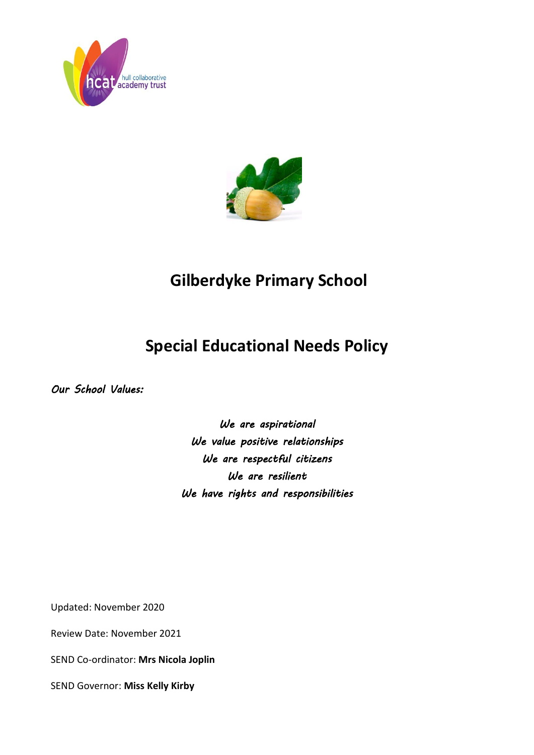



# **Gilberdyke Primary School**

# **Special Educational Needs Policy**

*Our School Values:* 

*We are aspirational We value positive relationships We are respectful citizens We are resilient We have rights and responsibilities* 

Updated: November 2020

Review Date: November 2021

SEND Co-ordinator: **Mrs Nicola Joplin**

SEND Governor: **Miss Kelly Kirby**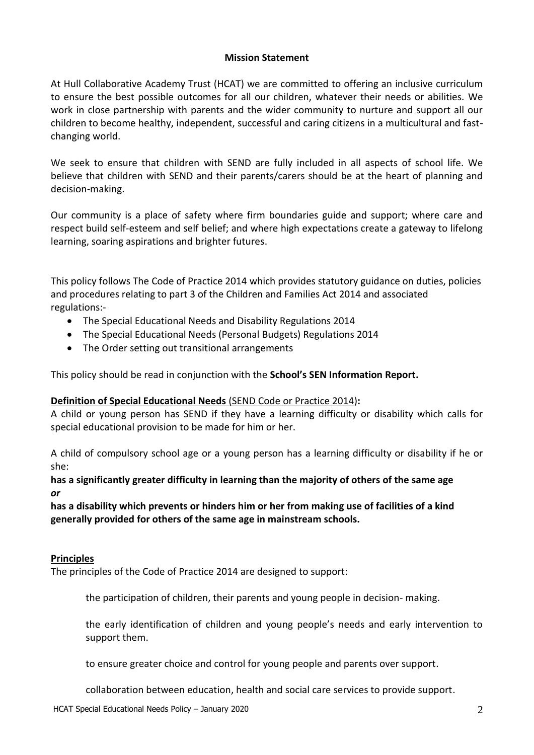## **Mission Statement**

At Hull Collaborative Academy Trust (HCAT) we are committed to offering an inclusive curriculum to ensure the best possible outcomes for all our children, whatever their needs or abilities. We work in close partnership with parents and the wider community to nurture and support all our children to become healthy, independent, successful and caring citizens in a multicultural and fastchanging world.

We seek to ensure that children with SEND are fully included in all aspects of school life. We believe that children with SEND and their parents/carers should be at the heart of planning and decision-making.

Our community is a place of safety where firm boundaries guide and support; where care and respect build self-esteem and self belief; and where high expectations create a gateway to lifelong learning, soaring aspirations and brighter futures.

This policy follows The Code of Practice 2014 which provides statutory guidance on duties, policies and procedures relating to part 3 of the Children and Families Act 2014 and associated regulations:-

- The Special Educational Needs and Disability Regulations 2014
- The Special Educational Needs (Personal Budgets) Regulations 2014
- The Order setting out transitional arrangements

This policy should be read in conjunction with the **School's SEN Information Report.**

## **Definition of Special Educational Needs** (SEND Code or Practice 2014)**:**

A child or young person has SEND if they have a learning difficulty or disability which calls for special educational provision to be made for him or her.

A child of compulsory school age or a young person has a learning difficulty or disability if he or she:

**has a significantly greater difficulty in learning than the majority of others of the same age**  *or*

**has a disability which prevents or hinders him or her from making use of facilities of a kind generally provided for others of the same age in mainstream schools.**

## **Principles**

The principles of the Code of Practice 2014 are designed to support:

the participation of children, their parents and young people in decision- making.

the early identification of children and young people's needs and early intervention to support them.

to ensure greater choice and control for young people and parents over support.

collaboration between education, health and social care services to provide support.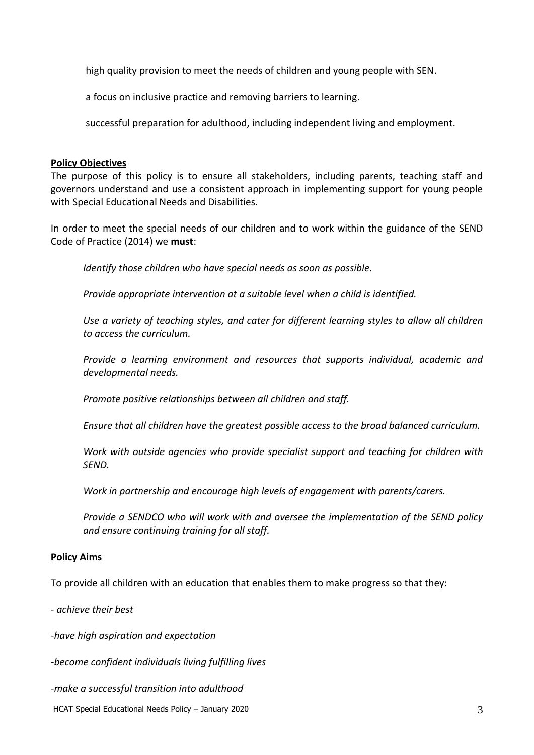high quality provision to meet the needs of children and young people with SEN.

a focus on inclusive practice and removing barriers to learning.

successful preparation for adulthood, including independent living and employment.

## **Policy Objectives**

The purpose of this policy is to ensure all stakeholders, including parents, teaching staff and governors understand and use a consistent approach in implementing support for young people with Special Educational Needs and Disabilities.

In order to meet the special needs of our children and to work within the guidance of the SEND Code of Practice (2014) we **must**:

*Identify those children who have special needs as soon as possible.*

*Provide appropriate intervention at a suitable level when a child is identified.*

*Use a variety of teaching styles, and cater for different learning styles to allow all children to access the curriculum.*

*Provide a learning environment and resources that supports individual, academic and developmental needs.*

*Promote positive relationships between all children and staff.*

*Ensure that all children have the greatest possible access to the broad balanced curriculum.*

*Work with outside agencies who provide specialist support and teaching for children with SEND.*

*Work in partnership and encourage high levels of engagement with parents/carers.*

*Provide a SENDCO who will work with and oversee the implementation of the SEND policy and ensure continuing training for all staff.*

## **Policy Aims**

To provide all children with an education that enables them to make progress so that they:

*- achieve their best*

*-have high aspiration and expectation*

*-become confident individuals living fulfilling lives*

*-make a successful transition into adulthood*

HCAT Special Educational Needs Policy – January 2020 33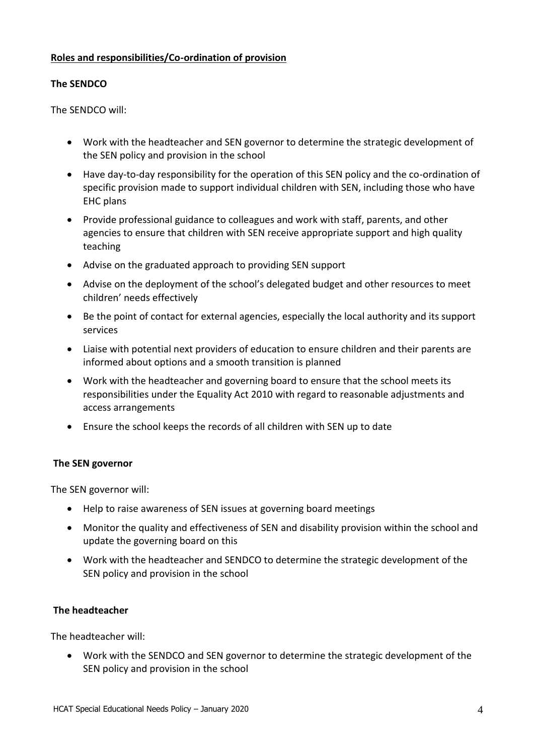## **Roles and responsibilities/Co-ordination of provision**

## **The SENDCO**

The SENDCO will:

- Work with the headteacher and SEN governor to determine the strategic development of the SEN policy and provision in the school
- Have day-to-day responsibility for the operation of this SEN policy and the co-ordination of specific provision made to support individual children with SEN, including those who have EHC plans
- Provide professional guidance to colleagues and work with staff, parents, and other agencies to ensure that children with SEN receive appropriate support and high quality teaching
- Advise on the graduated approach to providing SEN support
- Advise on the deployment of the school's delegated budget and other resources to meet children' needs effectively
- Be the point of contact for external agencies, especially the local authority and its support services
- Liaise with potential next providers of education to ensure children and their parents are informed about options and a smooth transition is planned
- Work with the headteacher and governing board to ensure that the school meets its responsibilities under the Equality Act 2010 with regard to reasonable adjustments and access arrangements
- Ensure the school keeps the records of all children with SEN up to date

## **The SEN governor**

The SEN governor will:

- Help to raise awareness of SEN issues at governing board meetings
- Monitor the quality and effectiveness of SEN and disability provision within the school and update the governing board on this
- Work with the headteacher and SENDCO to determine the strategic development of the SEN policy and provision in the school

## **The headteacher**

The headteacher will:

 Work with the SENDCO and SEN governor to determine the strategic development of the SEN policy and provision in the school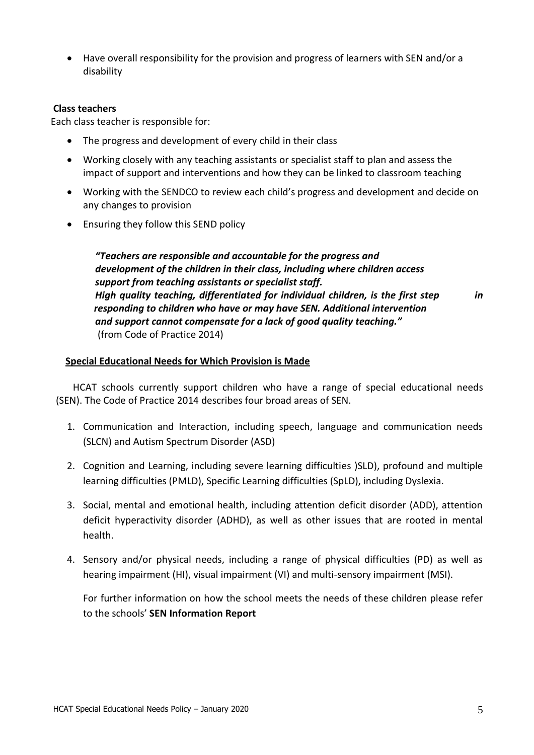Have overall responsibility for the provision and progress of learners with SEN and/or a disability

## **Class teachers**

Each class teacher is responsible for:

- The progress and development of every child in their class
- Working closely with any teaching assistants or specialist staff to plan and assess the impact of support and interventions and how they can be linked to classroom teaching
- Working with the SENDCO to review each child's progress and development and decide on any changes to provision
- Ensuring they follow this SEND policy

*"Teachers are responsible and accountable for the progress and development of the children in their class, including where children access support from teaching assistants or specialist staff. High quality teaching, differentiated for individual children, is the first step in responding to children who have or may have SEN. Additional intervention and support cannot compensate for a lack of good quality teaching."*  (from Code of Practice 2014)

#### **Special Educational Needs for Which Provision is Made**

 HCAT schools currently support children who have a range of special educational needs (SEN). The Code of Practice 2014 describes four broad areas of SEN.

- 1. Communication and Interaction, including speech, language and communication needs (SLCN) and Autism Spectrum Disorder (ASD)
- 2. Cognition and Learning, including severe learning difficulties )SLD), profound and multiple learning difficulties (PMLD), Specific Learning difficulties (SpLD), including Dyslexia.
- 3. Social, mental and emotional health, including attention deficit disorder (ADD), attention deficit hyperactivity disorder (ADHD), as well as other issues that are rooted in mental health.
- 4. Sensory and/or physical needs, including a range of physical difficulties (PD) as well as hearing impairment (HI), visual impairment (VI) and multi-sensory impairment (MSI).

For further information on how the school meets the needs of these children please refer to the schools' **SEN Information Report**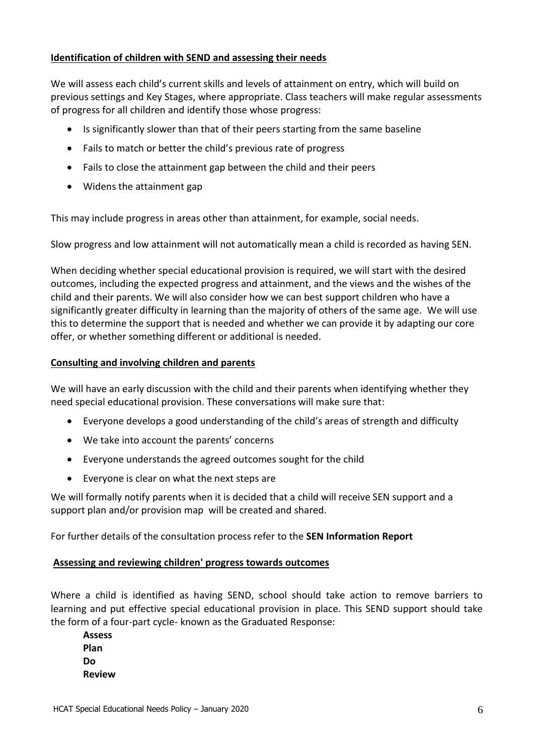# **Identification of children with SEND and assessing their needs**

We will assess each child's current skills and levels of attainment on entry, which will build on previous settings and Key Stages, where appropriate. Class teachers will make regular assessments of progress for all children and identify those whose progress:

- Is significantly slower than that of their peers starting from the same baseline
- Fails to match or better the child's previous rate of progress
- Fails to close the attainment gap between the child and their peers
- Widens the attainment gap

This may include progress in areas other than attainment, for example, social needs.

Slow progress and low attainment will not automatically mean a child is recorded as having SEN.

When deciding whether special educational provision is required, we will start with the desired outcomes, including the expected progress and attainment, and the views and the wishes of the child and their parents. We will also consider how we can best support children who have a significantly greater difficulty in learning than the majority of others of the same age. We will use this to determine the support that is needed and whether we can provide it by adapting our core offer, or whether something different or additional is needed.

## **Consulting and involving children and parents**

We will have an early discussion with the child and their parents when identifying whether they need special educational provision. These conversations will make sure that:

- Everyone develops a good understanding of the child's areas of strength and difficulty
- We take into account the parents' concerns
- Everyone understands the agreed outcomes sought for the child
- Everyone is clear on what the next steps are

We will formally notify parents when it is decided that a child will receive SEN support and a support plan and/or provision map will be created and shared.

For further details of the consultation process refer to the **SEN Information Report**

## **Assessing and reviewing children' progress towards outcomes**

Where a child is identified as having SEND, school should take action to remove barriers to learning and put effective special educational provision in place. This SEND support should take the form of a four-part cycle- known as the Graduated Response:

**Assess Plan Do Review**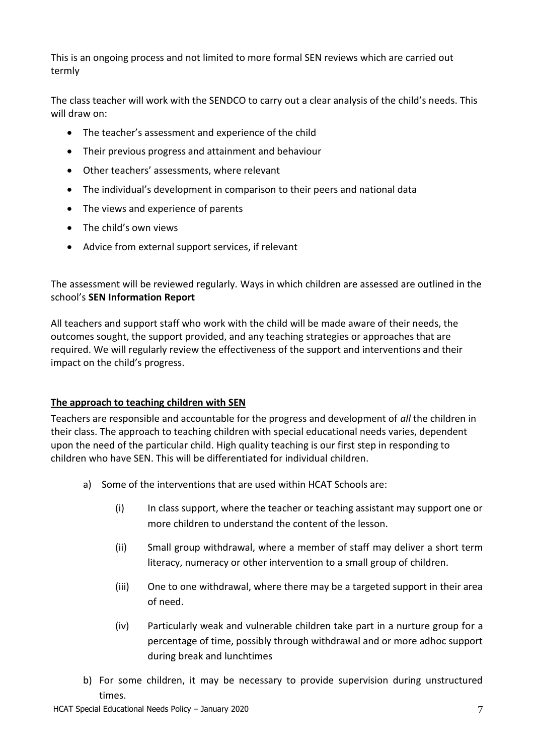This is an ongoing process and not limited to more formal SEN reviews which are carried out termly

The class teacher will work with the SENDCO to carry out a clear analysis of the child's needs. This will draw on:

- The teacher's assessment and experience of the child
- Their previous progress and attainment and behaviour
- Other teachers' assessments, where relevant
- The individual's development in comparison to their peers and national data
- The views and experience of parents
- The child's own views
- Advice from external support services, if relevant

The assessment will be reviewed regularly. Ways in which children are assessed are outlined in the school's **SEN Information Report**

All teachers and support staff who work with the child will be made aware of their needs, the outcomes sought, the support provided, and any teaching strategies or approaches that are required. We will regularly review the effectiveness of the support and interventions and their impact on the child's progress.

# **The approach to teaching children with SEN**

Teachers are responsible and accountable for the progress and development of *all* the children in their class. The approach to teaching children with special educational needs varies, dependent upon the need of the particular child. High quality teaching is our first step in responding to children who have SEN. This will be differentiated for individual children.

- a) Some of the interventions that are used within HCAT Schools are:
	- (i) In class support, where the teacher or teaching assistant may support one or more children to understand the content of the lesson.
	- (ii) Small group withdrawal, where a member of staff may deliver a short term literacy, numeracy or other intervention to a small group of children.
	- (iii) One to one withdrawal, where there may be a targeted support in their area of need.
	- (iv) Particularly weak and vulnerable children take part in a nurture group for a percentage of time, possibly through withdrawal and or more adhoc support during break and lunchtimes
- b) For some children, it may be necessary to provide supervision during unstructured times.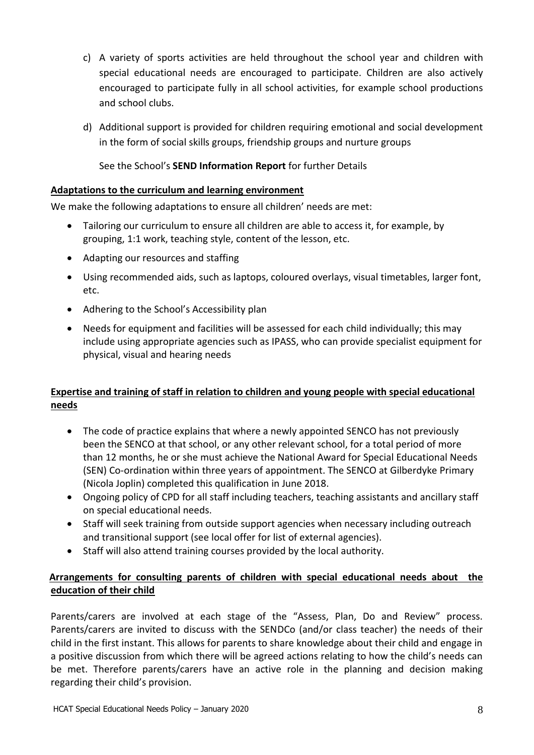- c) A variety of sports activities are held throughout the school year and children with special educational needs are encouraged to participate. Children are also actively encouraged to participate fully in all school activities, for example school productions and school clubs.
- d) Additional support is provided for children requiring emotional and social development in the form of social skills groups, friendship groups and nurture groups

See the School's **SEND Information Report** for further Details

# **Adaptations to the curriculum and learning environment**

We make the following adaptations to ensure all children' needs are met:

- Tailoring our curriculum to ensure all children are able to access it, for example, by grouping, 1:1 work, teaching style, content of the lesson, etc.
- Adapting our resources and staffing
- Using recommended aids, such as laptops, coloured overlays, visual timetables, larger font, etc.
- Adhering to the School's Accessibility plan
- Needs for equipment and facilities will be assessed for each child individually; this may include using appropriate agencies such as IPASS, who can provide specialist equipment for physical, visual and hearing needs

# **Expertise and training of staff in relation to children and young people with special educational needs**

- The code of practice explains that where a newly appointed SENCO has not previously been the SENCO at that school, or any other relevant school, for a total period of more than 12 months, he or she must achieve the National Award for Special Educational Needs (SEN) Co-ordination within three years of appointment. The SENCO at Gilberdyke Primary (Nicola Joplin) completed this qualification in June 2018.
- Ongoing policy of CPD for all staff including teachers, teaching assistants and ancillary staff on special educational needs.
- Staff will seek training from outside support agencies when necessary including outreach and transitional support (see local offer for list of external agencies).
- Staff will also attend training courses provided by the local authority.

# **Arrangements for consulting parents of children with special educational needs about the education of their child**

Parents/carers are involved at each stage of the "Assess, Plan, Do and Review" process. Parents/carers are invited to discuss with the SENDCo (and/or class teacher) the needs of their child in the first instant. This allows for parents to share knowledge about their child and engage in a positive discussion from which there will be agreed actions relating to how the child's needs can be met. Therefore parents/carers have an active role in the planning and decision making regarding their child's provision.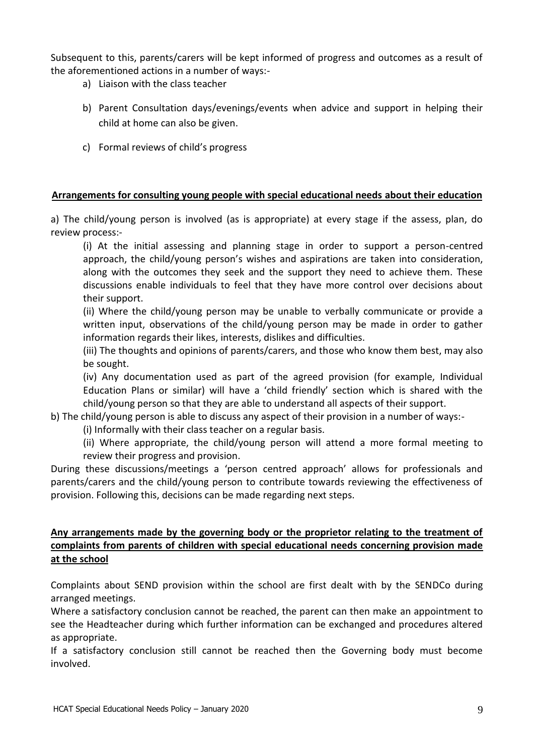Subsequent to this, parents/carers will be kept informed of progress and outcomes as a result of the aforementioned actions in a number of ways:-

- a) Liaison with the class teacher
- b) Parent Consultation days/evenings/events when advice and support in helping their child at home can also be given.
- c) Formal reviews of child's progress

## **Arrangements for consulting young people with special educational needs about their education**

a) The child/young person is involved (as is appropriate) at every stage if the assess, plan, do review process:-

(i) At the initial assessing and planning stage in order to support a person-centred approach, the child/young person's wishes and aspirations are taken into consideration, along with the outcomes they seek and the support they need to achieve them. These discussions enable individuals to feel that they have more control over decisions about their support.

(ii) Where the child/young person may be unable to verbally communicate or provide a written input, observations of the child/young person may be made in order to gather information regards their likes, interests, dislikes and difficulties.

(iii) The thoughts and opinions of parents/carers, and those who know them best, may also be sought.

(iv) Any documentation used as part of the agreed provision (for example, Individual Education Plans or similar) will have a 'child friendly' section which is shared with the child/young person so that they are able to understand all aspects of their support.

b) The child/young person is able to discuss any aspect of their provision in a number of ways:-

(i) Informally with their class teacher on a regular basis.

(ii) Where appropriate, the child/young person will attend a more formal meeting to review their progress and provision.

During these discussions/meetings a 'person centred approach' allows for professionals and parents/carers and the child/young person to contribute towards reviewing the effectiveness of provision. Following this, decisions can be made regarding next steps.

# **Any arrangements made by the governing body or the proprietor relating to the treatment of complaints from parents of children with special educational needs concerning provision made at the school**

Complaints about SEND provision within the school are first dealt with by the SENDCo during arranged meetings.

Where a satisfactory conclusion cannot be reached, the parent can then make an appointment to see the Headteacher during which further information can be exchanged and procedures altered as appropriate.

If a satisfactory conclusion still cannot be reached then the Governing body must become involved.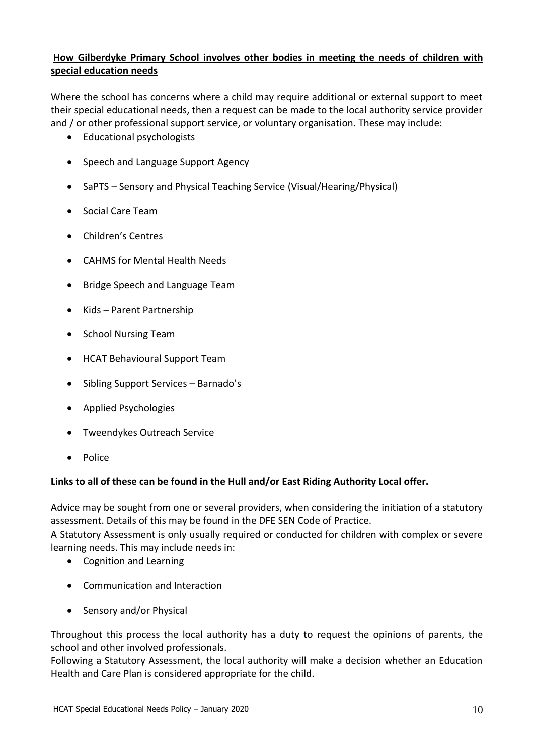# **How Gilberdyke Primary School involves other bodies in meeting the needs of children with special education needs**

Where the school has concerns where a child may require additional or external support to meet their special educational needs, then a request can be made to the local authority service provider and / or other professional support service, or voluntary organisation. These may include:

- Educational psychologists
- Speech and Language Support Agency
- SaPTS Sensory and Physical Teaching Service (Visual/Hearing/Physical)
- Social Care Team
- Children's Centres
- CAHMS for Mental Health Needs
- Bridge Speech and Language Team
- Kids Parent Partnership
- School Nursing Team
- HCAT Behavioural Support Team
- Sibling Support Services Barnado's
- Applied Psychologies
- Tweendykes Outreach Service
- Police

# **Links to all of these can be found in the Hull and/or East Riding Authority Local offer.**

Advice may be sought from one or several providers, when considering the initiation of a statutory assessment. Details of this may be found in the DFE SEN Code of Practice.

A Statutory Assessment is only usually required or conducted for children with complex or severe learning needs. This may include needs in:

- Cognition and Learning
- Communication and Interaction
- Sensory and/or Physical

Throughout this process the local authority has a duty to request the opinions of parents, the school and other involved professionals.

Following a Statutory Assessment, the local authority will make a decision whether an Education Health and Care Plan is considered appropriate for the child.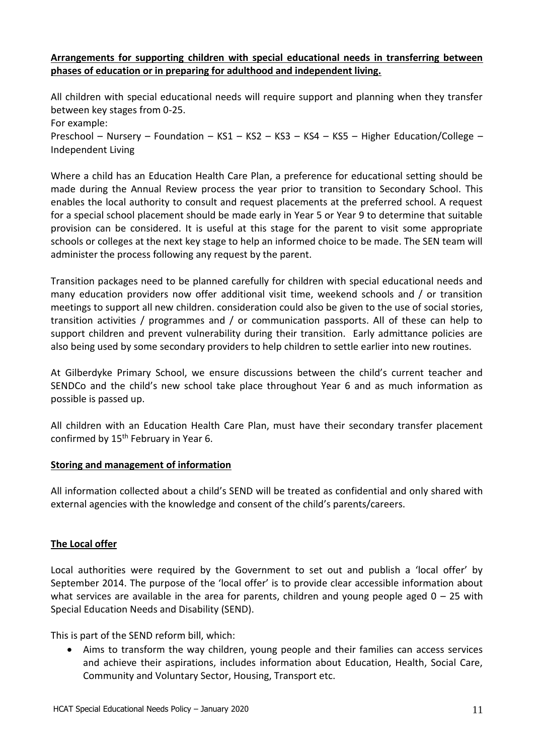## **Arrangements for supporting children with special educational needs in transferring between phases of education or in preparing for adulthood and independent living.**

All children with special educational needs will require support and planning when they transfer between key stages from 0-25. For example: Preschool – Nursery – Foundation – KS1 – KS2 – KS3 – KS4 – KS5 – Higher Education/College – Independent Living

Where a child has an Education Health Care Plan, a preference for educational setting should be made during the Annual Review process the year prior to transition to Secondary School. This enables the local authority to consult and request placements at the preferred school. A request for a special school placement should be made early in Year 5 or Year 9 to determine that suitable provision can be considered. It is useful at this stage for the parent to visit some appropriate schools or colleges at the next key stage to help an informed choice to be made. The SEN team will administer the process following any request by the parent.

Transition packages need to be planned carefully for children with special educational needs and many education providers now offer additional visit time, weekend schools and / or transition meetings to support all new children. consideration could also be given to the use of social stories, transition activities / programmes and / or communication passports. All of these can help to support children and prevent vulnerability during their transition. Early admittance policies are also being used by some secondary providers to help children to settle earlier into new routines.

At Gilberdyke Primary School, we ensure discussions between the child's current teacher and SENDCo and the child's new school take place throughout Year 6 and as much information as possible is passed up.

All children with an Education Health Care Plan, must have their secondary transfer placement confirmed by 15<sup>th</sup> February in Year 6.

## **Storing and management of information**

All information collected about a child's SEND will be treated as confidential and only shared with external agencies with the knowledge and consent of the child's parents/careers.

# **The Local offer**

Local authorities were required by the Government to set out and publish a 'local offer' by September 2014. The purpose of the 'local offer' is to provide clear accessible information about what services are available in the area for parents, children and young people aged  $0 - 25$  with Special Education Needs and Disability (SEND).

This is part of the SEND reform bill, which:

 Aims to transform the way children, young people and their families can access services and achieve their aspirations, includes information about Education, Health, Social Care, Community and Voluntary Sector, Housing, Transport etc.